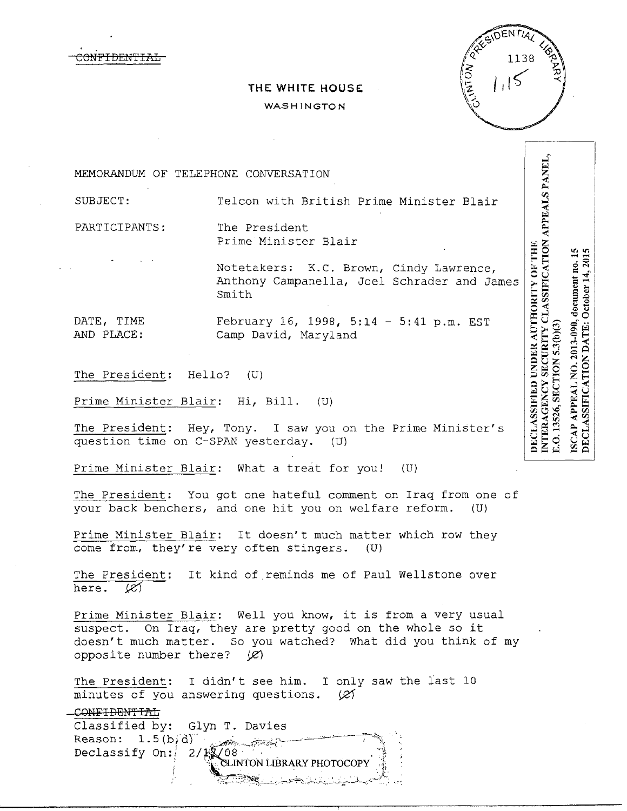CONPIDEN'l'IAL

# **THE WHITE HOUSE**  WASHINGTON



MEMORANDUM OF TELEPHONE CONVERSATION

SUBJECT: Telcon with British Prime Minister Blair

Prime Minister Blair

PARTICIPANTS: The President

DECLASSIFIED UNDER AUTHORITY OF THE Notetakers: K.c. Brown, Cindy Lawrence, Anthony Campanella, Joel Schrader and James Smith

DATE, TIME February 16, 1998, 5:14 - 5:41 p.m. EST<br>AND PLACE: Camp David, Marvland Camp David, Maryland

The President: Hello? (U)

Prime Minister Blair: Hi, Bill. (U)

The President: Hey, Tony. I saw you on the Prime Minister's question time on C-SPAN yesterday. (U)

Prime Minister Blair: What a treat for you! (U)

The President: You got one hateful comment on Iraq from one of your back benchers, and one hit you on welfare reform. (U)

Prime Minister Blair: It doesn't much matter which row they come from, they're very often stingers. (U)

The President: It kind of reminds me of Paul Wellstone over here.  $\mathscr{C}$ 

Prime Minister Blair: Well you know, it is from a very usual suspect. On Iraq, they are pretty good on the whole so it doesn't much matter. So you watched? What did you think of my opposite number there?  $(\mathscr{L})$ 

The President: I didn't see him. I only saw the last 10 minutes of you answering questions.  $(R)$ 

CONFIDENTIAL Classified by: Glyn T. Davies Reason: 1.5(b/d)<br>Declassify On: 2/1, O8<br>NeLINTON LIBRARY PHOTOCOPY /. \, \_,:~.--~::~~~~\_::\_\_\_:\_:·-.-~-~+::o,~-~\_:\_;..;., ~·-.,.:~,;~--~-L ..,,;',\_\_\_\_;;~~-~ ,,.. ,

NO. 2013-090, document no. 15<br>TION DATE: October 14, 2015 DECLASSIFICATION DATE: October 14, 201 3.O. 13526, SECTION 5.3(b)(3) **SCAP APPEAL** 

NTERAGENCY SECURITY CLASSIFICATION APPEALS PANEL,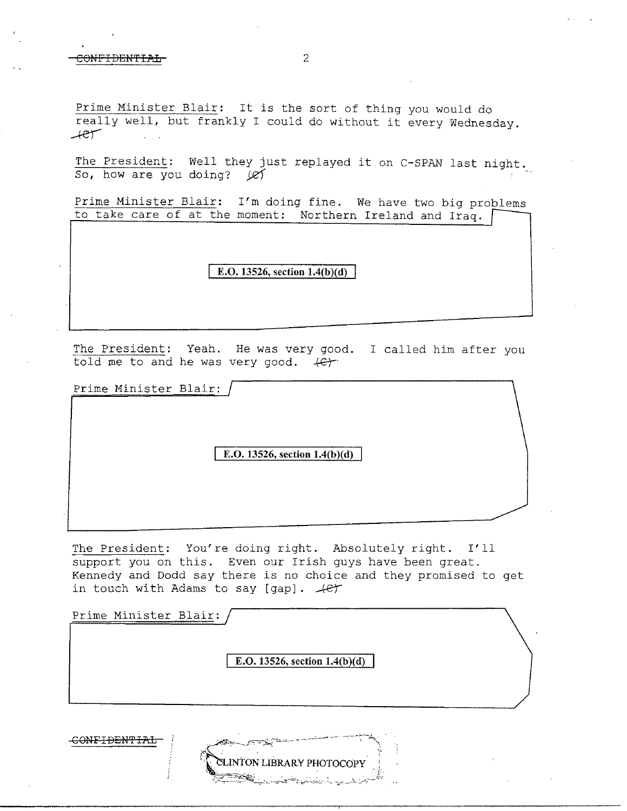Prime Minister Blair: It is the sort of thing you would do really well, but frankly I could do without it every Wednesday . *.-te')* 

The President: Well they just replayed it on C-SPAN last night. So, how are you doing?  $\cancel{\ell}$ 

Prime Minister Blair: I'm doing fine. We have two big problems to take care of at the moment: Northern Ireland and Iraq.

## **E.O. 13526, section 1.4(b)(d)**

The President: Yeah. He was very good. I called him after you told me to and he was very good.  $\leftarrow$ 

Prime Minister Blair:

**E.O. 13526, section 1.4(b)(d)** 

The President: You're doing right. Absolutely right. I'll support you on this. Even our Irish guys have been great. Kennedy and Dodd say there is no choice and they promised to get in touch with Adams to say [gap].  $+e^+$ 

Prime Minister Blair:

**E.O. 13526, section 1.4(b)(d)** 

CONFIDENTIAL

INTON LIBRARY PHOTOCOPY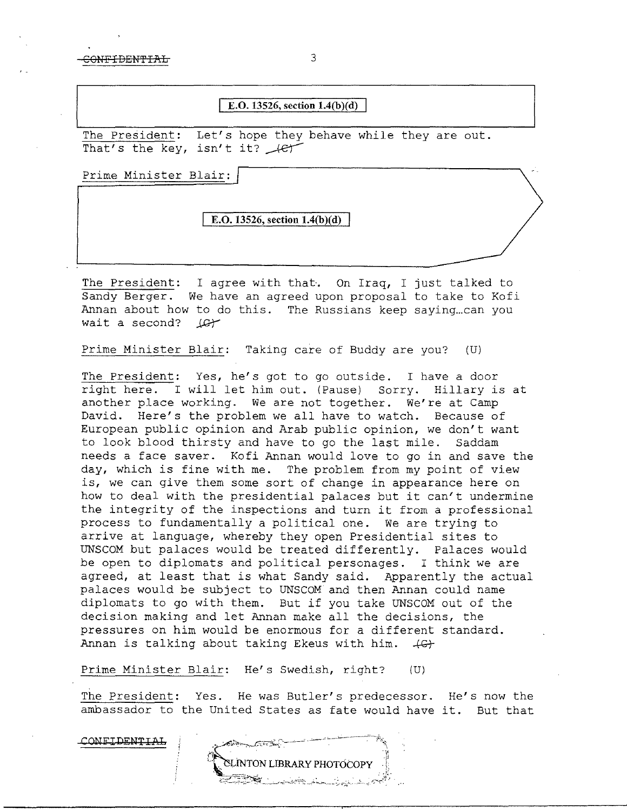## **E.0. 13526, section 1.4(b)(d)**

The President: Let's hope they behave while they are out. That's the key, isn't it?  $4e^+$ 

Prime Minister Blair:

**E.O. 13526, section 1.4(b)(d)** 

The President: I agree with that. On Iraq, I just talked to Sandy Berger. We have an agreed upon proposal to take to Kofi Annan about how to do this. The Russians keep saying...can you wait a second? Let

Prime Minister Blair: Taking care of Buddy are you? (U)

The President: Yes, he's got to go outside. I have a door right here. I will let him out. (Pause) Sorry. Hillary is at another place working. We are not together. We're at Camp David. Here's the problem we all have to watch. Because of European public opinion and Arab public opinion, we don't want to look blood thirsty and have to go the last mile. Saddam needs a face saver. Kofi Annan would love to go in and save the day, which is fine with me. The problem from my point of view is, we can give them some sort of change in appearance here on how to deal with the presidential palaces but it can't undermine the integrity of the inspections and turn it from a professional process to fundamentally a political one. We are trying to arrive at language, whereby they open Presidential sites to UNSCOM but palaces would be treated differently. Palaces would be open to diplomats and political personages. I think we are agreed, at least that is what Sandy said. Apparently the actual palaces would be subject to UNSCOM and then Annan could name diplomats to go with them. But if you take UNSCOM out of the decision making and let Annan make all the decisions, the pressures on him would be enormous for a different standard. Annan is talking about taking Ekeus with him.  $+G$ 

Prime Minister Blair: He's Swedish, right? (U)

The President: Yes. He was Butler's predecessor. He's now the ambassador to the United States as fate would have it. But that

CONFIDENTIAL

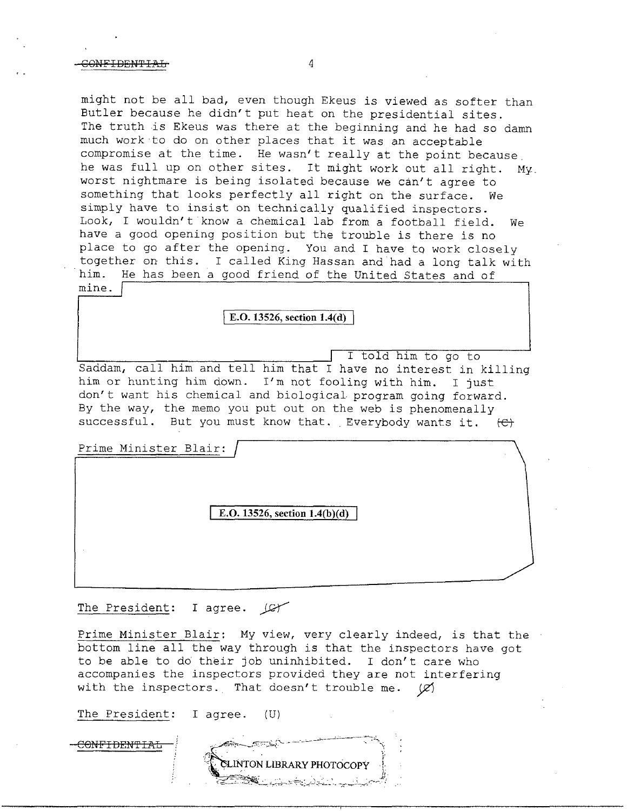might not be all bad, even though Ekeus is viewed as softer than Butler because he didn't put heat on the presidential sites. The truth is Ekeus was there at the beginning and he had so damn much work·to do on other places that it was an acceptable compromise at the time. He wasn't really at the point because. he was full up on other sites. It might work out all right. My. worst nightmare is being isolated because we can't agree to something that looks perfectly all right on the surface. We simply have to insist on technically qualified inspectors. Look, I wouldn't know a chemical lab from a football field. We have a good opening position but the trouble is there is no place to go after the opening. You and I have to work closely together on this. I called King Hassan and had a long talk with him. He has been a good friend of the United States and of mine.

### E.O. 13526, section 1.4(d)

I told him to go to Saddam, call him and tell him that I have no interest in killing him or hunting him down. I'm not fooling with him. I just don't want his chemical and biological program going forward. By the way, the memo you put out on the web is phenomenally successful. But you must know that. Everybody wants it.  $\left\{\mathfrak{E}\right\}$ 

Prime Minister Blair:

**E.O. 13526, section l.4(b)(d)** 

The President: I agree.  $\sqrt{C\gamma}$ 

Prime Minister Blair: My view, very clearly indeed, is that the bottom line all the way through is that the inspectors have got to be able to do their job uninhibited. I don't care who accompanies the inspectors provided they are not interfering with the inspectors. That doesn't trouble me.  $(2)$ 

The President: I agree. (U)

C<del>ONFIDENTIAL</del>

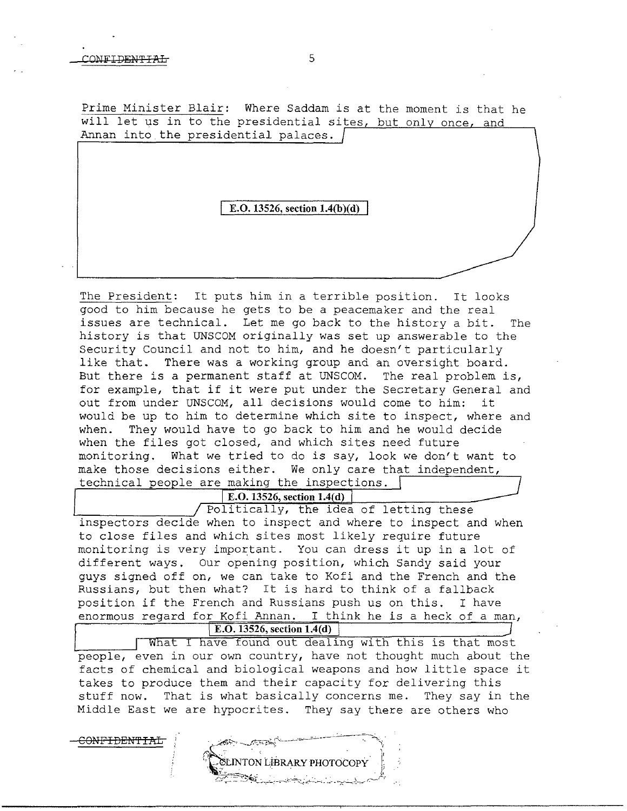CONFIDEN'fIAL

Prime Minister Blair: Where Saddam is at the moment is that he will let us in to the presidential sites, but only once, and Annan into the presidential palaces.

**E.O. 13526, section 1.4(b)(d)** 

The President: It puts him in a terrible position. It looks good to him because he gets to be a peacemaker and the real issues are technical. Let me go back to the history a bit. The history is that UNSCOM originally was set up answerable to the Security Council and not to him, and he doesn't particularly like that. There was a working group and an oversight board. But there is a permanent staff at UNSCOM. The real problem is, for example, that if it were put under the Secretary General and out from under UNSCOM, all decisions would come to him: it would be up to him to determine which site to inspect, where and when. They would have to go back to him and he would decide They would have to go back to him and he would decide when the files got closed, and which sites need future monitoring. What we tried to do is say, look we don't want to make those decisions either. We only care that independent, technical people are making the inspections.  $\lceil$ 

**E.O. 13526, section 1.4(d)** Politically, the idea of letting these inspectors decide when to inspect and where to inspect and when to close files and which sites most likely require future monitoring is very important. You can dress it up in a lot of different ways. Our opening position, which Sandy said your guys signed off on, we can take to Kofi and the French and the Russians, but then what? It is hard to think of a fallback position if the French and Russians push us on this. I have enormous regard for Kofi Annan. I think he is a heck of a man, **E.O. 13526, section 1.4(d)** 

What I have found out dealing with this is that most people, even in our own country, have not thought much about the facts of chemical and biological weapons and how little space it takes to produce them and their capacity for delivering this stuff now. That is what basically concerns me. They say in the Middle East we are hypocrites. They say there are others who

**CLINTON LIBRARY PHOTOCOPY**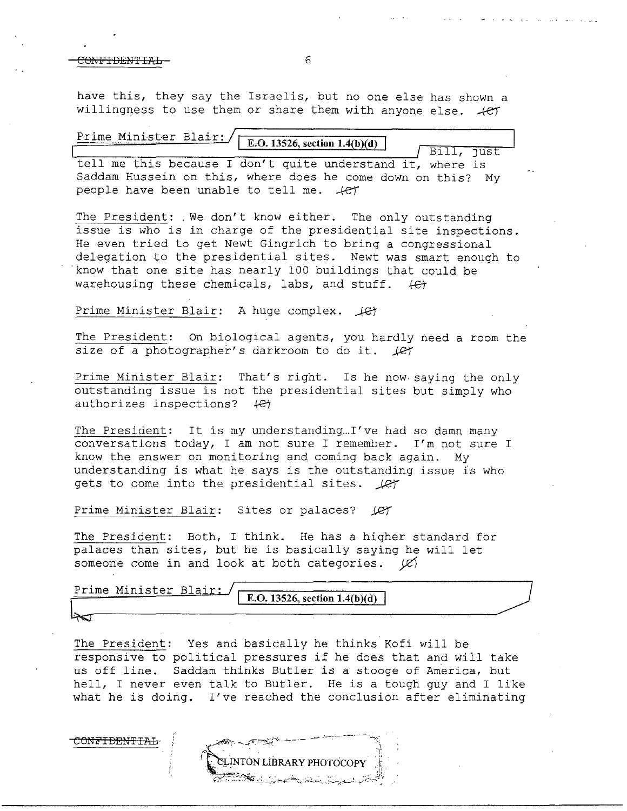have this, they say the Israelis, but no one else has shown a willingness to use them or share them with anyone else.  $+e^{i\theta}$ 

| Prime Minister Blair: / [E.O. 13526, section 1.4(b)(d)                                                                    | Bill, just |
|---------------------------------------------------------------------------------------------------------------------------|------------|
| tell me this because I don't quite understand it, where is<br>Saddam Hussein on this, where does he come down on this? My |            |
| people have been unable to tell me. $+e\tau$                                                                              |            |

The President: . We. don't know either. The only outstanding issue is who is in charge of the presidential site inspections. He even tried to get Newt Gingrich to bring a congressional delegation to the presidential sites. Newt was smart enough to ·know that one site has nearly 100 buildings that could be warehousing these chemicals, labs, and stuff.  $\left\{ \epsilon \right\}$ 

#### Prime Minister Blair: A huge complex.  $\text{JET}$

The President: On biological agents, you hardly need a room the size of a photographer's darkroom to do it.  $\text{Ler}$ 

Prime Minister Blair: That's right. Is he now saying the only outstanding issue is not the presidential sites but simply who authorizes inspections?  $\leftarrow$ 

The President: It is my understanding...I've had so damn many conversations today, I am not sure I remember. I'm not sure I know the answer on monitoring and coming back again. My understanding is what he says is the outstanding issue is who gets to come into the presidential sites.  $\text{Ler}$ 

Prime Minister Blair: Sites or palaces? (C)

The President: Both, I think. He has a higher standard for palaces than sites, but he is basically saying he will let someone come in and look at both categories.  $|C|$ 

| Prime Minister Blair: |                                 |
|-----------------------|---------------------------------|
|                       | E.O. 13526, section $1.4(b)(d)$ |
|                       |                                 |

The President: Yes and basically he thinks Kofi will be responsive to political pressures if he does that and will take us off line. Saddam thinks Butler is a stooge of America, but hell, I never even talk to Butler. He is a tough guy and I like what he is doing. I've reached the conclusion after eliminating

CONFIDENTIAL

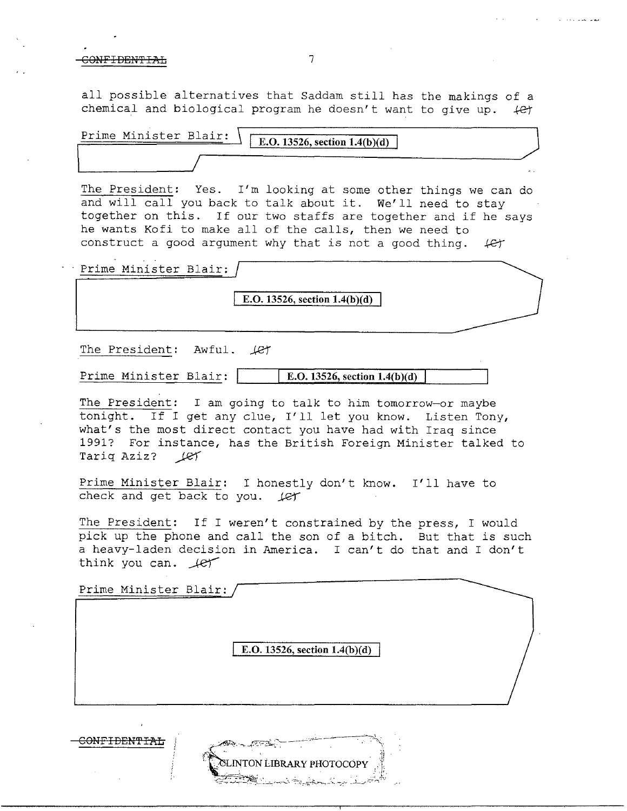all possible alternatives that Saddam still has the makings of a chemical and biological program he doesn't want to give up.  $\leftarrow$ 

| Prime Minister Blair: | E.O. 13526, section $1.4(b)(d)$ |     |
|-----------------------|---------------------------------|-----|
|                       |                                 |     |
|                       |                                 | . . |

The President: Yes. I'm looking at some other things we can do and will call you back to talk about it. We'll need to stay together on this. If our two staffs are together and if he says he wants Kofi to make all of the calls, then we need to construct a good argument why that is not a good thing.  $\#$ 

Prime Minister Blair:

**E.O. 13526, section 1.4(b)(d)** 

The President: Awful.  $\text{Ler}$ 

CONFIDEN'l'IAL

Prime Minister Blair:  $\parallel$  **E.O.** 13526, section 1.4(b)(d)

The President: I am going to talk to him tomorrow-or maybe tonight. If I get any clue, I'll let you know. Listen Tony, what's the most direct contact you have had with Iraq since 1991? For instance, has the British Foreign Minister talked to Tariq Aziz? (et

Prime Minister Blair: I honestly don't know. I'll have to check and get back to you. *Jet* 

The President: If I weren't constrained by the press, I would pick up the phone and call the son of a bitch. But that is such a heavy-laden decision in America. I can't do that and I don't think you can.  $\text{Ier}$ 

Prime Minister Blair: **E.O. 13526, section 1.4(b)(d)** 

**INTON LIBRARY PHOTOCOP**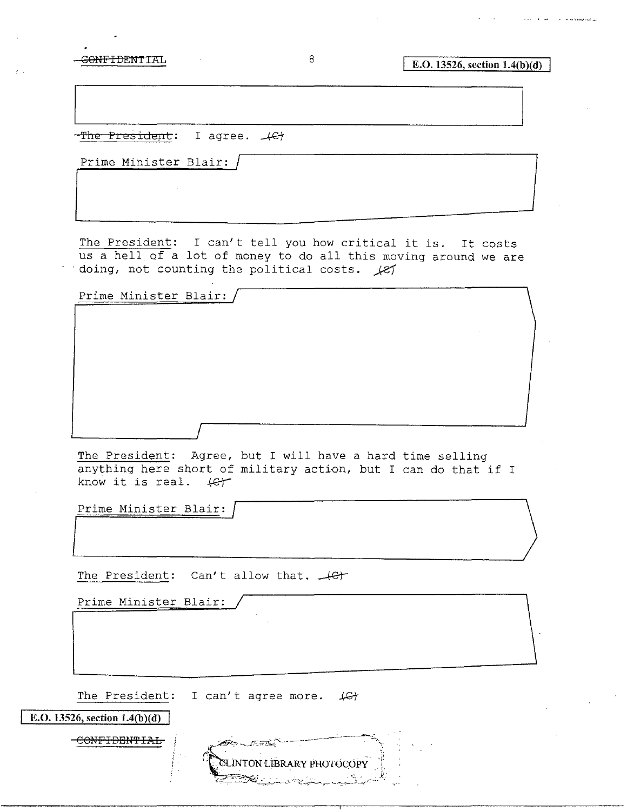ن<br>ما فيستعملها به المال المسارية المتحدة

 $-$ The President: I agree.  $\angle$ Gt

Prime Minister Blair:

The President: I can't tell you how critical it is. It costs us a hell of a lot of money to do all this moving around we are doing, not counting the political costs.  $k$ 

| Prime Minister Blair: |  |  |
|-----------------------|--|--|
|                       |  |  |
|                       |  |  |
|                       |  |  |
|                       |  |  |
|                       |  |  |

The President: Agree, but I will have a hard time selling anything here short of military action, but I can do that if I know it is real.  $\#f$ 

Prime Minister Blair:

The President: Can't allow that.  $\overline{\mathcal{L}}$ 

Prime Minister Blair:

The President: I can't agree more.  $\mathcal{L}\rightarrow$ 

**E.O. 13526, section 1.4(b)(d)** CONFIDEN'PIAL **ELINTON LIBRARY PHOTOCOPY**